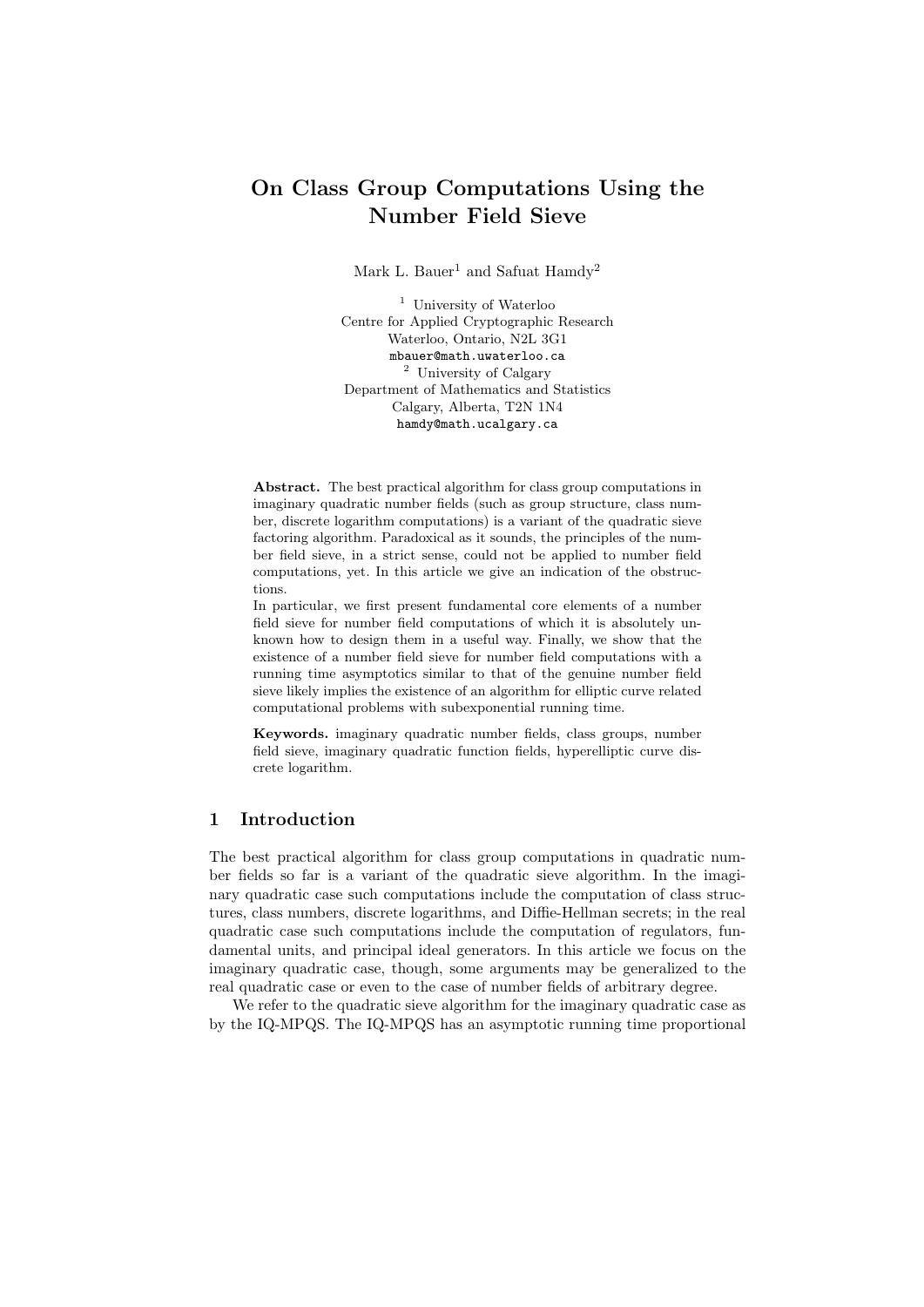# On Class Group Computations Using the Number Field Sieve

Mark L. Bauer<sup>1</sup> and Safuat Hamdy<sup>2</sup>

<sup>1</sup> University of Waterloo Centre for Applied Cryptographic Research Waterloo, Ontario, N2L 3G1 mbauer@math.uwaterloo.ca <sup>2</sup> University of Calgary Department of Mathematics and Statistics Calgary, Alberta, T2N 1N4 hamdy@math.ucalgary.ca

Abstract. The best practical algorithm for class group computations in imaginary quadratic number fields (such as group structure, class number, discrete logarithm computations) is a variant of the quadratic sieve factoring algorithm. Paradoxical as it sounds, the principles of the number field sieve, in a strict sense, could not be applied to number field computations, yet. In this article we give an indication of the obstructions.

In particular, we first present fundamental core elements of a number field sieve for number field computations of which it is absolutely unknown how to design them in a useful way. Finally, we show that the existence of a number field sieve for number field computations with a running time asymptotics similar to that of the genuine number field sieve likely implies the existence of an algorithm for elliptic curve related computational problems with subexponential running time.

Keywords. imaginary quadratic number fields, class groups, number field sieve, imaginary quadratic function fields, hyperelliptic curve discrete logarithm.

## 1 Introduction

The best practical algorithm for class group computations in quadratic number fields so far is a variant of the quadratic sieve algorithm. In the imaginary quadratic case such computations include the computation of class structures, class numbers, discrete logarithms, and Diffie-Hellman secrets; in the real quadratic case such computations include the computation of regulators, fundamental units, and principal ideal generators. In this article we focus on the imaginary quadratic case, though, some arguments may be generalized to the real quadratic case or even to the case of number fields of arbitrary degree.

We refer to the quadratic sieve algorithm for the imaginary quadratic case as by the IQ-MPQS. The IQ-MPQS has an asymptotic running time proportional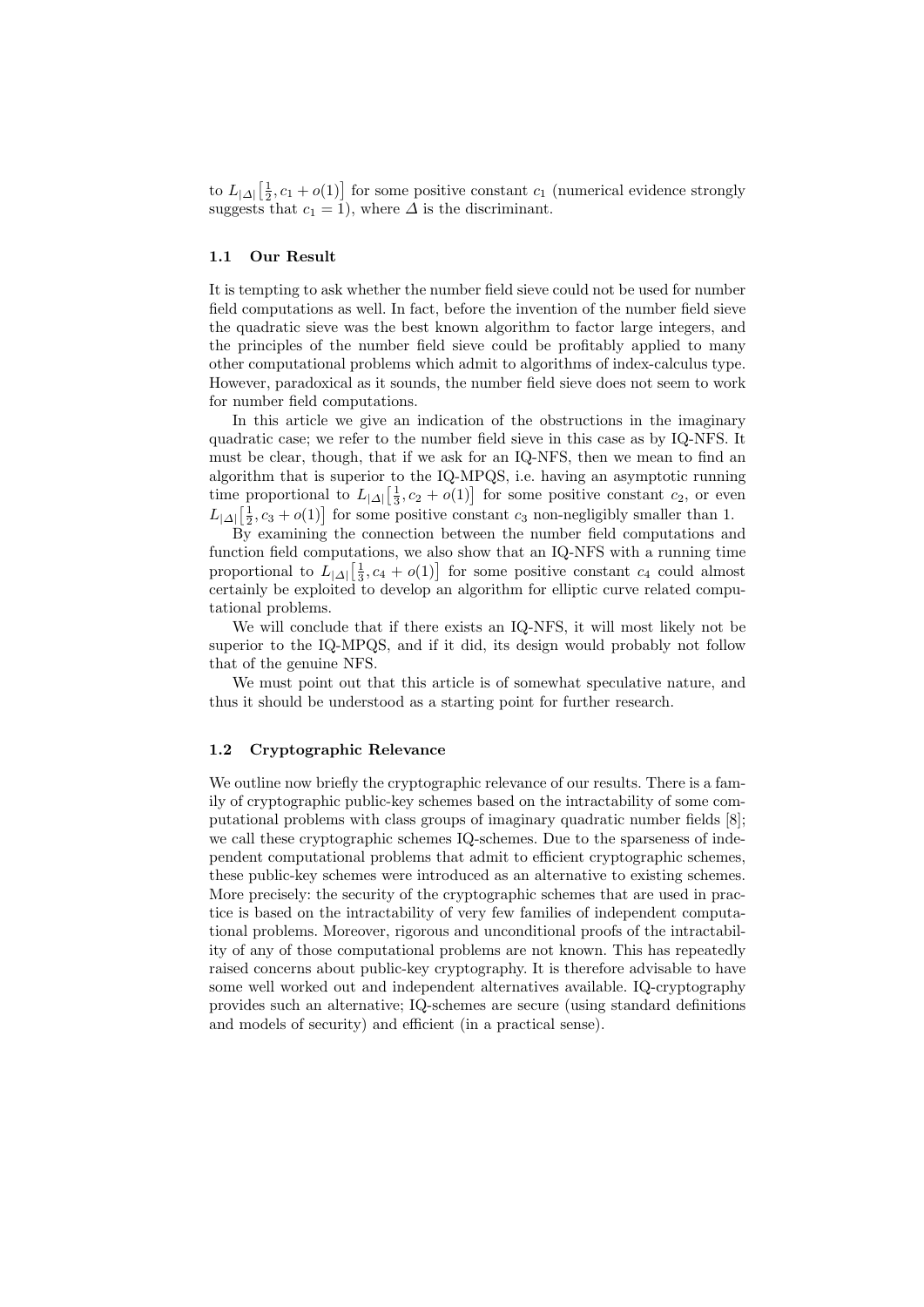to  $L_{|\Delta|}$  $\left[\frac{1}{2}, c_1 + o(1)\right]$  for some positive constant  $c_1$  (numerical evidence strongly suggests that  $c_1 = 1$ , where  $\Delta$  is the discriminant.

## 1.1 Our Result

It is tempting to ask whether the number field sieve could not be used for number field computations as well. In fact, before the invention of the number field sieve the quadratic sieve was the best known algorithm to factor large integers, and the principles of the number field sieve could be profitably applied to many other computational problems which admit to algorithms of index-calculus type. However, paradoxical as it sounds, the number field sieve does not seem to work for number field computations.

In this article we give an indication of the obstructions in the imaginary quadratic case; we refer to the number field sieve in this case as by IQ-NFS. It must be clear, though, that if we ask for an IQ-NFS, then we mean to find an algorithm that is superior to the IQ-MPQS, i.e. having an asymptotic running £ algorithm that is superior to the **iQ-MPQS**, i.e. having an asymptotic running<br>time proportional to  $L_{|\Delta|}[\frac{1}{3}, c_2 + o(1)]$  for some positive constant  $c_2$ , or even the proportional to  $L|\Delta| \left[\frac{1}{3}, c_2 + o(1)\right]$  for some positive constant  $c_3$  non-negligibly smaller than 1.

By examining the connection between the number field computations and function field computations, we also show that an IQ-NFS with a running time function field computations, we also show that an IQ-NFS with a running time<br>proportional to  $L_{\alpha}[\frac{1}{3}, c_4 + o(1)]$  for some positive constant  $c_4$  could almost certainly be exploited to develop an algorithm for elliptic curve related computational problems.

We will conclude that if there exists an IQ-NFS, it will most likely not be superior to the IQ-MPQS, and if it did, its design would probably not follow that of the genuine NFS.

We must point out that this article is of somewhat speculative nature, and thus it should be understood as a starting point for further research.

## 1.2 Cryptographic Relevance

We outline now briefly the cryptographic relevance of our results. There is a family of cryptographic public-key schemes based on the intractability of some computational problems with class groups of imaginary quadratic number fields [8]; we call these cryptographic schemes IQ-schemes. Due to the sparseness of independent computational problems that admit to efficient cryptographic schemes, these public-key schemes were introduced as an alternative to existing schemes. More precisely: the security of the cryptographic schemes that are used in practice is based on the intractability of very few families of independent computational problems. Moreover, rigorous and unconditional proofs of the intractability of any of those computational problems are not known. This has repeatedly raised concerns about public-key cryptography. It is therefore advisable to have some well worked out and independent alternatives available. IQ-cryptography provides such an alternative; IQ-schemes are secure (using standard definitions and models of security) and efficient (in a practical sense).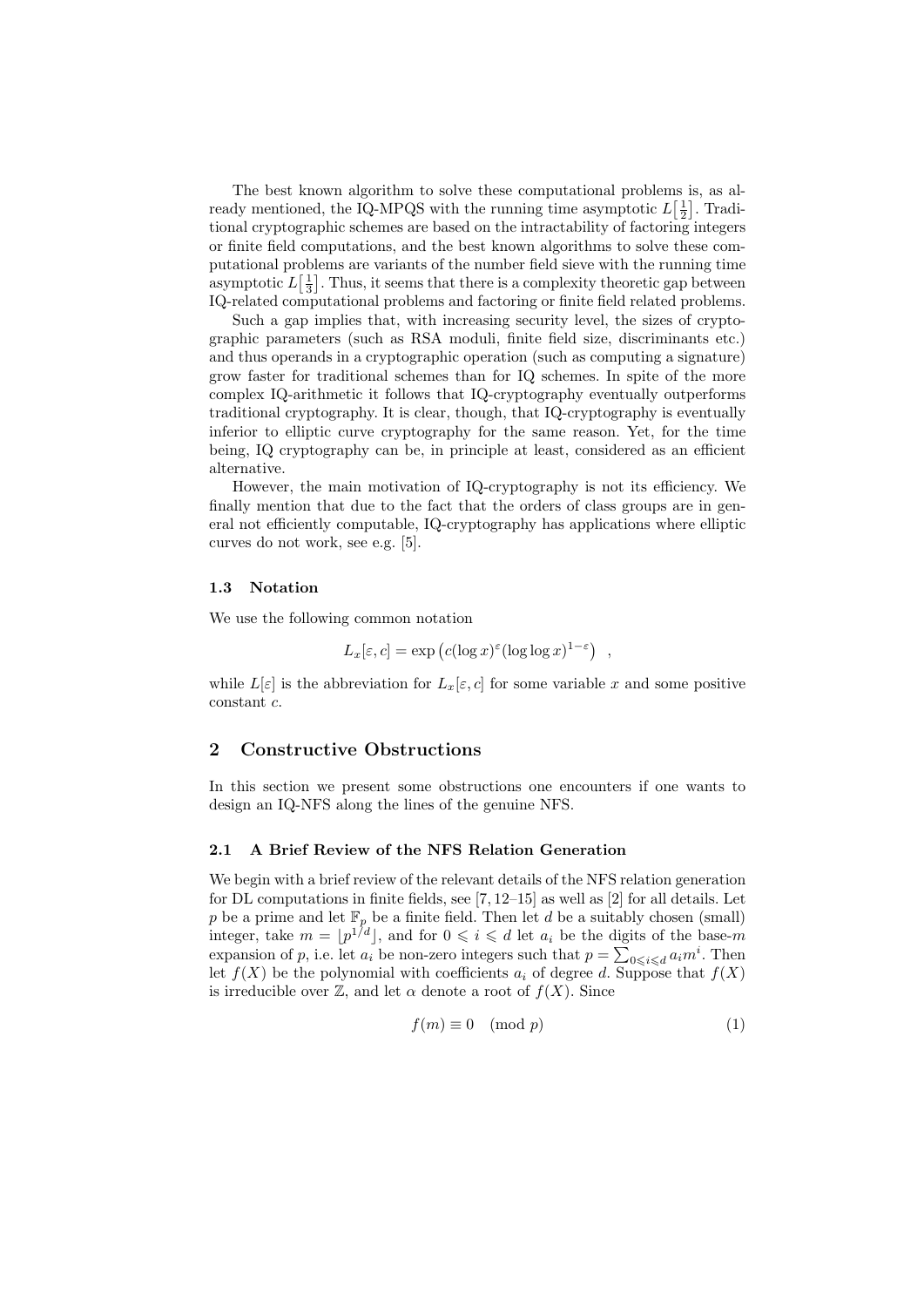The best known algorithm to solve these computational problems is, as already mentioned, the IQ-MPQS with the running time asymptotic  $L\left[\frac{1}{2}\right]$ . Traditional cryptographic schemes are based on the intractability of factoring integers or finite field computations, and the best known algorithms to solve these computational problems are variants of the number field sieve with the running time asymptotic  $L\left[\frac{1}{3}\right]$ . Thus, it seems that there is a complexity theoretic gap between IQ-related computational problems and factoring or finite field related problems.

Such a gap implies that, with increasing security level, the sizes of cryptographic parameters (such as RSA moduli, finite field size, discriminants etc.) and thus operands in a cryptographic operation (such as computing a signature) grow faster for traditional schemes than for IQ schemes. In spite of the more complex IQ-arithmetic it follows that IQ-cryptography eventually outperforms traditional cryptography. It is clear, though, that IQ-cryptography is eventually inferior to elliptic curve cryptography for the same reason. Yet, for the time being, IQ cryptography can be, in principle at least, considered as an efficient alternative.

However, the main motivation of IQ-cryptography is not its efficiency. We finally mention that due to the fact that the orders of class groups are in general not efficiently computable, IQ-cryptography has applications where elliptic curves do not work, see e.g. [5].

#### 1.3 Notation

We use the following common notation

$$
L_x[\varepsilon, c] = \exp\left(c(\log x)^{\varepsilon}(\log \log x)^{1-\varepsilon}\right) ,
$$

while  $L[\varepsilon]$  is the abbreviation for  $L_x[\varepsilon, c]$  for some variable x and some positive constant c.

## 2 Constructive Obstructions

In this section we present some obstructions one encounters if one wants to design an IQ-NFS along the lines of the genuine NFS.

### 2.1 A Brief Review of the NFS Relation Generation

We begin with a brief review of the relevant details of the NFS relation generation for DL computations in finite fields, see [7, 12–15] as well as [2] for all details. Let p be a prime and let  $\mathbb{F}_p$  be a finite field. Then let d be a suitably chosen (small) integer, take  $m = \lfloor p^{1/d} \rfloor$ , and for  $0 \leq i \leq d$  let  $a_i$  be the digits of the base-m expansion of p, i.e. let  $a_i$  be non-zero integers such that  $p = \sum_{0 \leq i \leq d} a_i m^i$ . Then let  $f(X)$  be the polynomial with coefficients  $a_i$  of degree d. Suppose that  $f(X)$ is irreducible over  $\mathbb{Z}$ , and let  $\alpha$  denote a root of  $f(X)$ . Since

$$
f(m) \equiv 0 \pmod{p} \tag{1}
$$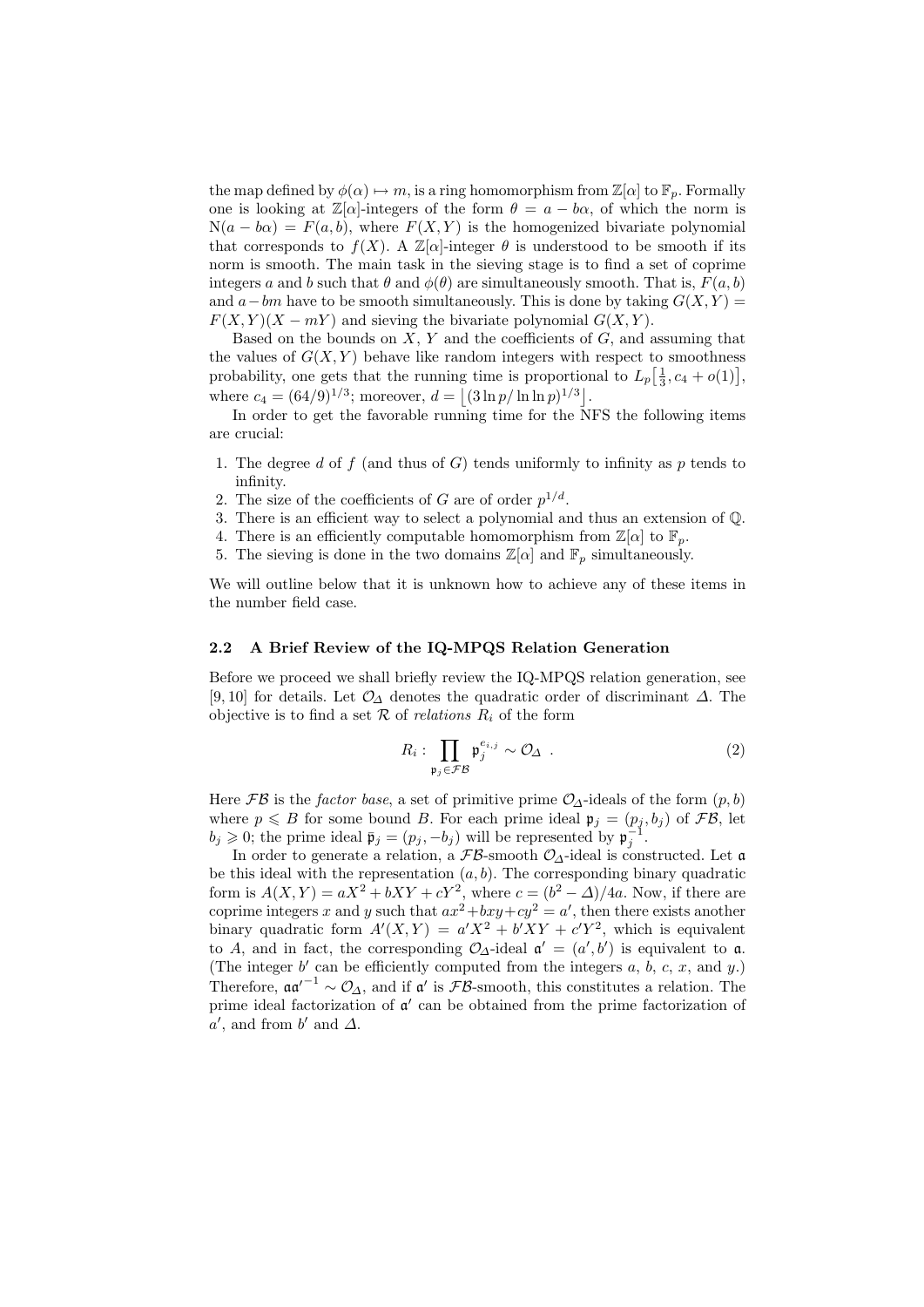the map defined by  $\phi(\alpha) \mapsto m$ , is a ring homomorphism from  $\mathbb{Z}[\alpha]$  to  $\mathbb{F}_p$ . Formally one is looking at  $\mathbb{Z}[\alpha]$ -integers of the form  $\theta = a - b\alpha$ , of which the norm is  $N(a - b\alpha) = F(a, b)$ , where  $F(X, Y)$  is the homogenized bivariate polynomial that corresponds to  $f(X)$ . A  $\mathbb{Z}[\alpha]$ -integer  $\theta$  is understood to be smooth if its norm is smooth. The main task in the sieving stage is to find a set of coprime integers a and b such that  $\theta$  and  $\phi(\theta)$  are simultaneously smooth. That is,  $F(a, b)$ and  $a-bm$  have to be smooth simultaneously. This is done by taking  $G(X, Y) =$  $F(X, Y)(X - mY)$  and sieving the bivariate polynomial  $G(X, Y)$ .

Based on the bounds on  $X, Y$  and the coefficients of  $G$ , and assuming that the values of  $G(X, Y)$  behave like random integers with respect to smoothness the values of  $G(X, Y)$  behave like random integers with respect to smoothness<br>probability, one gets that the running time is proportional to  $L_p\left[\frac{1}{3}, c_4 + o(1)\right]$ , where  $c_4 = (64/9)^{1/3}$ ; moreover,  $d = |(3 \ln p / \ln \ln p)^{1/3}|$ .

In order to get the favorable running time for the NFS the following items are crucial:

- 1. The degree d of f (and thus of G) tends uniformly to infinity as p tends to infinity.
- 2. The size of the coefficients of G are of order  $p^{1/d}$ .
- 3. There is an efficient way to select a polynomial and thus an extension of Q.
- 4. There is an efficiently computable homomorphism from  $\mathbb{Z}[\alpha]$  to  $\mathbb{F}_n$ .
- 5. The sieving is done in the two domains  $\mathbb{Z}[\alpha]$  and  $\mathbb{F}_p$  simultaneously.

We will outline below that it is unknown how to achieve any of these items in the number field case.

#### 2.2 A Brief Review of the IQ-MPQS Relation Generation

Before we proceed we shall briefly review the IQ-MPQS relation generation, see [9, 10] for details. Let  $\mathcal{O}_{\Delta}$  denotes the quadratic order of discriminant  $\Delta$ . The objective is to find a set  $R$  of *relations*  $R_i$  of the form

$$
R_i: \prod_{\mathfrak{p}_j \in \mathcal{FB}} \mathfrak{p}_j^{e_{i,j}} \sim \mathcal{O}_{\Delta} \quad . \tag{2}
$$

Here  $\mathcal{FB}$  is the *factor base*, a set of primitive prime  $\mathcal{O}_{\Delta}$ -ideals of the form  $(p, b)$ where  $p \le B$  for some bound B. For each prime ideal  $\mathfrak{p}_j = (p_j, b_j)$  of  $\mathcal{FB}$ , let  $b_j \geqslant 0$ ; the prime ideal  $\bar{\mathfrak{p}}_j = (p_j, -b_j)$  will be represented by  $\mathfrak{p}_j^{-1}$ .

In order to generate a relation, a  $\mathcal{FB}$ -smooth  $\mathcal{O}_{\Delta}$ -ideal is constructed. Let a be this ideal with the representation  $(a, b)$ . The corresponding binary quadratic form is  $A(X, Y) = aX^2 + bXY + cY^2$ , where  $c = (b^2 - \Delta)/4a$ . Now, if there are coprime integers x and y such that  $ax^2 + bxy + cy^2 = a'$ , then there exists another binary quadratic form  $A'(X,Y) = a'X^2 + b'XY + c'Y^2$ , which is equivalent to A, and in fact, the corresponding  $\mathcal{O}_{\Delta}$ -ideal  $\mathfrak{a}' = (a', b')$  is equivalent to  $\mathfrak{a}$ . (The integer  $b'$  can be efficiently computed from the integers  $a, b, c, x$ , and  $y$ .) Therefore,  $\mathfrak{aa'}^{-1} \sim \mathcal{O}_{\Delta}$ , and if  $\mathfrak{a'}$  is  $\mathcal{FB}$ -smooth, this constitutes a relation. The prime ideal factorization of  $\mathfrak{a}'$  can be obtained from the prime factorization of  $a'$ , and from b' and  $\Delta$ .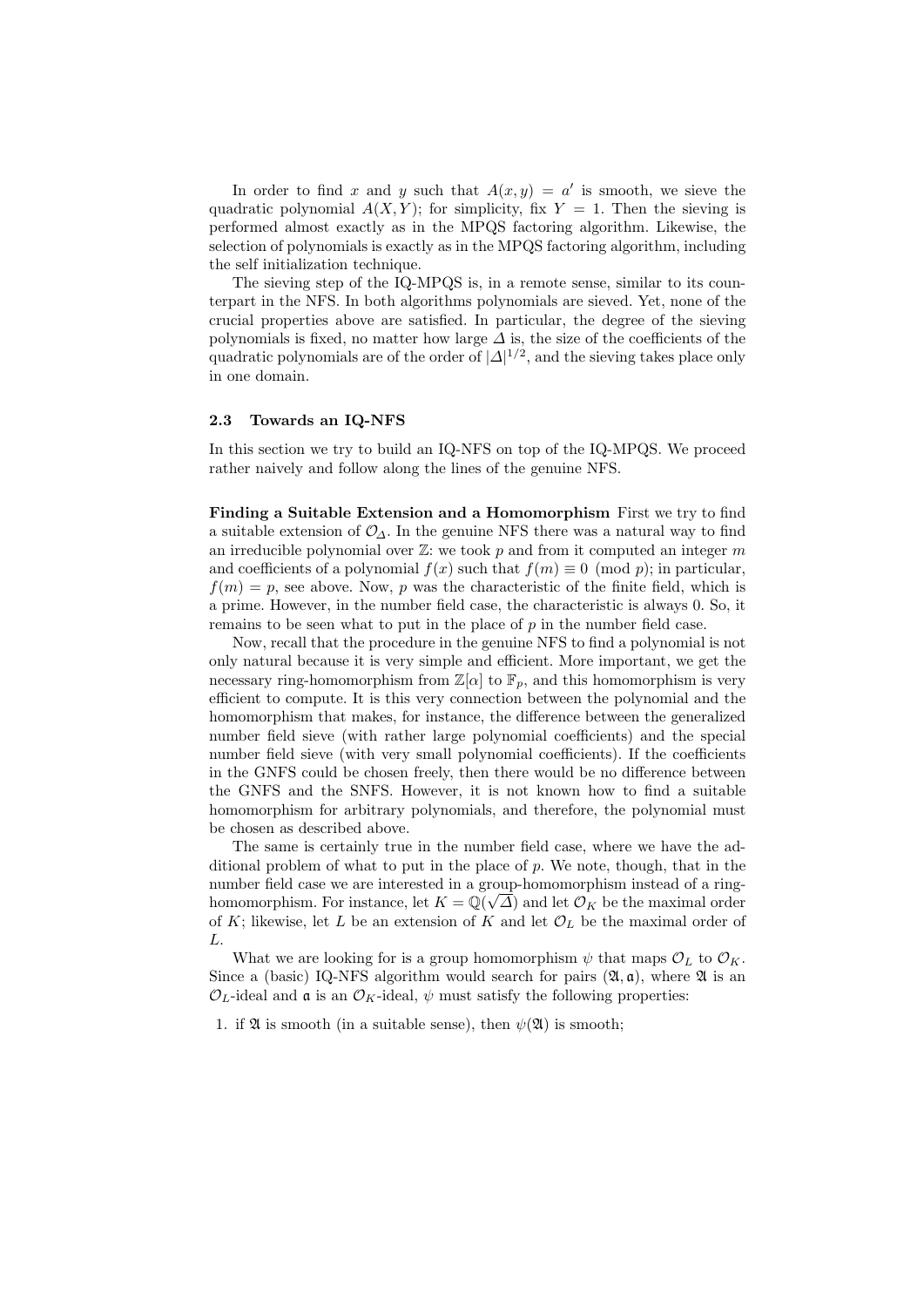In order to find x and y such that  $A(x, y) = a'$  is smooth, we sieve the quadratic polynomial  $A(X, Y)$ ; for simplicity, fix  $Y = 1$ . Then the sieving is performed almost exactly as in the MPQS factoring algorithm. Likewise, the selection of polynomials is exactly as in the MPQS factoring algorithm, including the self initialization technique.

The sieving step of the IQ-MPQS is, in a remote sense, similar to its counterpart in the NFS. In both algorithms polynomials are sieved. Yet, none of the crucial properties above are satisfied. In particular, the degree of the sieving polynomials is fixed, no matter how large  $\Delta$  is, the size of the coefficients of the quadratic polynomials are of the order of  $|\Delta|^{1/2}$ , and the sieving takes place only in one domain.

#### 2.3 Towards an IQ-NFS

In this section we try to build an IQ-NFS on top of the IQ-MPQS. We proceed rather naively and follow along the lines of the genuine NFS.

Finding a Suitable Extension and a Homomorphism First we try to find a suitable extension of  $\mathcal{O}_{\Delta}$ . In the genuine NFS there was a natural way to find an irreducible polynomial over  $\mathbb{Z}$ : we took p and from it computed an integer m and coefficients of a polynomial  $f(x)$  such that  $f(m) \equiv 0 \pmod{p}$ ; in particular,  $f(m) = p$ , see above. Now, p was the characteristic of the finite field, which is a prime. However, in the number field case, the characteristic is always 0. So, it remains to be seen what to put in the place of  $p$  in the number field case.

Now, recall that the procedure in the genuine NFS to find a polynomial is not only natural because it is very simple and efficient. More important, we get the necessary ring-homomorphism from  $\mathbb{Z}[\alpha]$  to  $\mathbb{F}_p$ , and this homomorphism is very efficient to compute. It is this very connection between the polynomial and the homomorphism that makes, for instance, the difference between the generalized number field sieve (with rather large polynomial coefficients) and the special number field sieve (with very small polynomial coefficients). If the coefficients in the GNFS could be chosen freely, then there would be no difference between the GNFS and the SNFS. However, it is not known how to find a suitable homomorphism for arbitrary polynomials, and therefore, the polynomial must be chosen as described above.

The same is certainly true in the number field case, where we have the additional problem of what to put in the place of  $p$ . We note, though, that in the number field case we are interested in a group-homomorphism instead of a ringhomomorphism. For instance, let  $K = \mathbb{Q}(\sqrt{\Delta})$  and let  $\mathcal{O}_K$  be the maximal order of K; likewise, let L be an extension of K and let  $\mathcal{O}_L$  be the maximal order of L.

What we are looking for is a group homomorphism  $\psi$  that maps  $\mathcal{O}_L$  to  $\mathcal{O}_K$ . Since a (basic) IQ-NFS algorithm would search for pairs  $(\mathfrak{A}, \mathfrak{a})$ , where  $\mathfrak{A}$  is an  $\mathcal{O}_L$ -ideal and **a** is an  $\mathcal{O}_K$ -ideal,  $\psi$  must satisfy the following properties:

1. if  $\mathfrak A$  is smooth (in a suitable sense), then  $\psi(\mathfrak A)$  is smooth;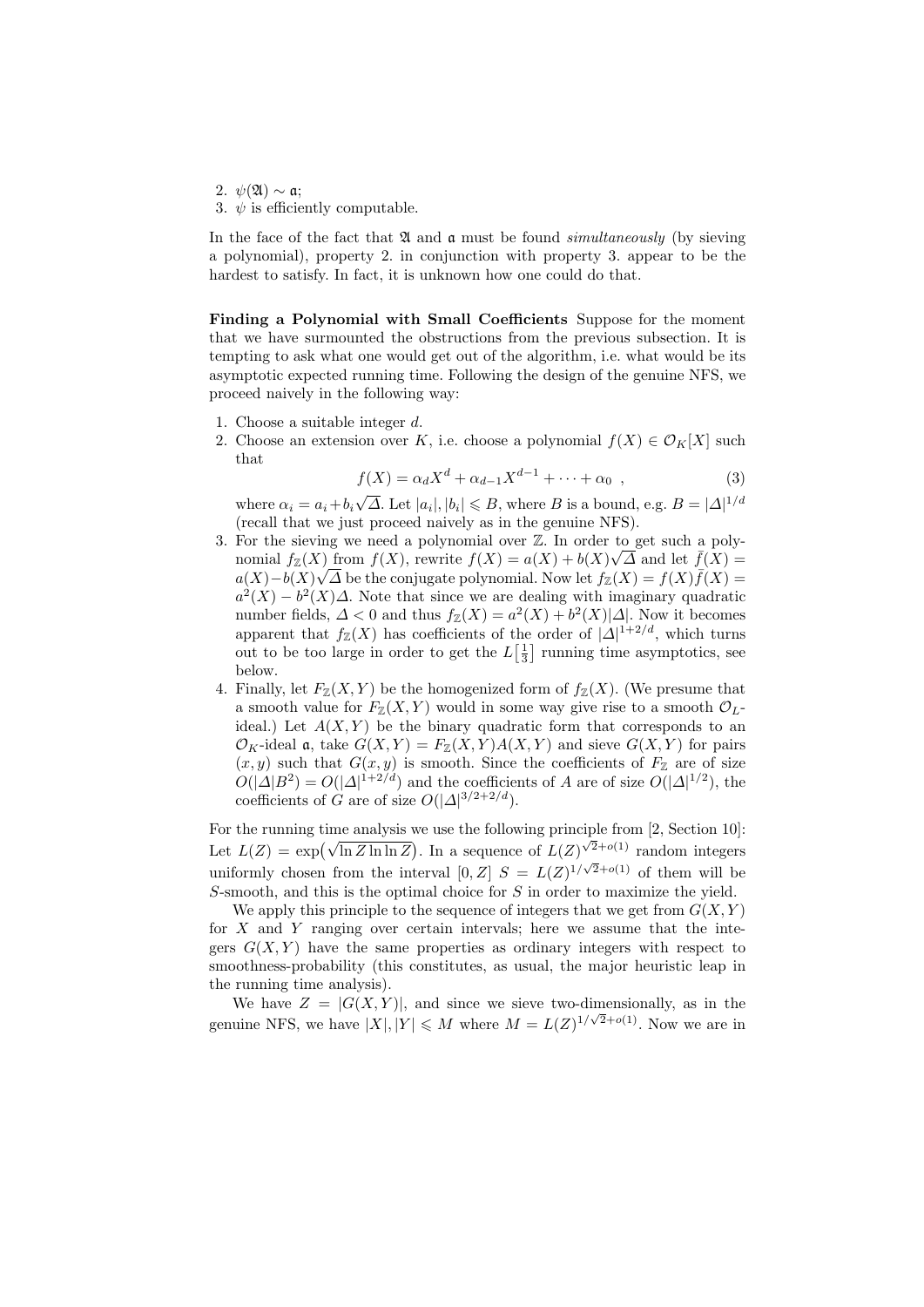- 2.  $\psi(\mathfrak{A}) \sim \mathfrak{a}$ ;
- 3.  $\psi$  is efficiently computable.

In the face of the fact that  $\mathfrak A$  and  $\mathfrak a$  must be found *simultaneously* (by sieving a polynomial), property 2. in conjunction with property 3. appear to be the hardest to satisfy. In fact, it is unknown how one could do that.

Finding a Polynomial with Small Coefficients Suppose for the moment that we have surmounted the obstructions from the previous subsection. It is tempting to ask what one would get out of the algorithm, i.e. what would be its asymptotic expected running time. Following the design of the genuine NFS, we proceed naively in the following way:

- 1. Choose a suitable integer d.
- 2. Choose an extension over K, i.e. choose a polynomial  $f(X) \in \mathcal{O}_K[X]$  such that

$$
f(X) = \alpha_d X^d + \alpha_{d-1} X^{d-1} + \dots + \alpha_0 , \qquad (3)
$$

where  $\alpha_i = a_i + b_i$  $\overline{\Delta}$ . Let  $|a_i|, |b_i| \leqslant B$ , where B is a bound, e.g.  $B = |\Delta|^{1/d}$ (recall that we just proceed naively as in the genuine NFS).

- 3. For the sieving we need a polynomial over  $\mathbb{Z}$ . In order to get such a polynomial  $f_Z(X)$  from  $f(X)$ , rewrite  $f(X) = a(X) + b(X)\sqrt{\Delta}$  and let  $\overline{f}(X) =$  $a(X) - b(X) \sqrt{\Delta}$  be the conjugate polynomial. Now let  $f_Z(X) = f(X) \overline{f}(X) =$  $a^2(X) - b^2(X)\Delta$ . Note that since we are dealing with imaginary quadratic number fields,  $\Delta < 0$  and thus  $f_{\mathbb{Z}}(X) = a^2(X) + b^2(X)|\Delta|$ . Now it becomes apparent that  $f_Z(X)$  has coefficients of the order of  $|\Delta|^{1+2/d}$ , which turns out to be too large in order to get the  $L\left[\frac{1}{3}\right]$  running time asymptotics, see below.
- 4. Finally, let  $F_{\mathbb{Z}}(X, Y)$  be the homogenized form of  $f_{\mathbb{Z}}(X)$ . (We presume that a smooth value for  $F_{\mathbb{Z}}(X, Y)$  would in some way give rise to a smooth  $\mathcal{O}_L$ ideal.) Let  $A(X, Y)$  be the binary quadratic form that corresponds to an  $\mathcal{O}_K$ -ideal **a**, take  $G(X, Y) = F_{\mathbb{Z}}(X, Y)A(X, Y)$  and sieve  $G(X, Y)$  for pairs  $(x, y)$  such that  $G(x, y)$  is smooth. Since the coefficients of  $F_{\mathbb{Z}}$  are of size  $O(|\Delta|B^2) = O(|\Delta|^{1+2/d})$  and the coefficients of A are of size  $O(|\Delta|^{1/2})$ , the coefficients of G are of size  $O(|\Delta|^{3/2+2/d})$ .

For the running time analysis we use the following principle from  $[2, Section 10]$ : For the running time analysis<br>Let  $L(Z) = \exp(\sqrt{\ln Z \ln \ln Z})$ n<br>V . In a sequence of  $L(Z)^{\sqrt{2}+o(1)}$  random integers uniformly chosen from the interval  $[0, Z]$   $S = L(Z)^{1/\sqrt{2} + o(1)}$  of them will be S-smooth, and this is the optimal choice for S in order to maximize the yield.

We apply this principle to the sequence of integers that we get from  $G(X, Y)$ for  $X$  and  $Y$  ranging over certain intervals; here we assume that the integers  $G(X, Y)$  have the same properties as ordinary integers with respect to smoothness-probability (this constitutes, as usual, the major heuristic leap in the running time analysis).

We have  $Z = |G(X, Y)|$ , and since we sieve two-dimensionally, as in the genuine NFS, we have  $|X|, |Y| \leq M$  where  $M = L(Z)^{1/\sqrt{2} + o(1)}$ . Now we are in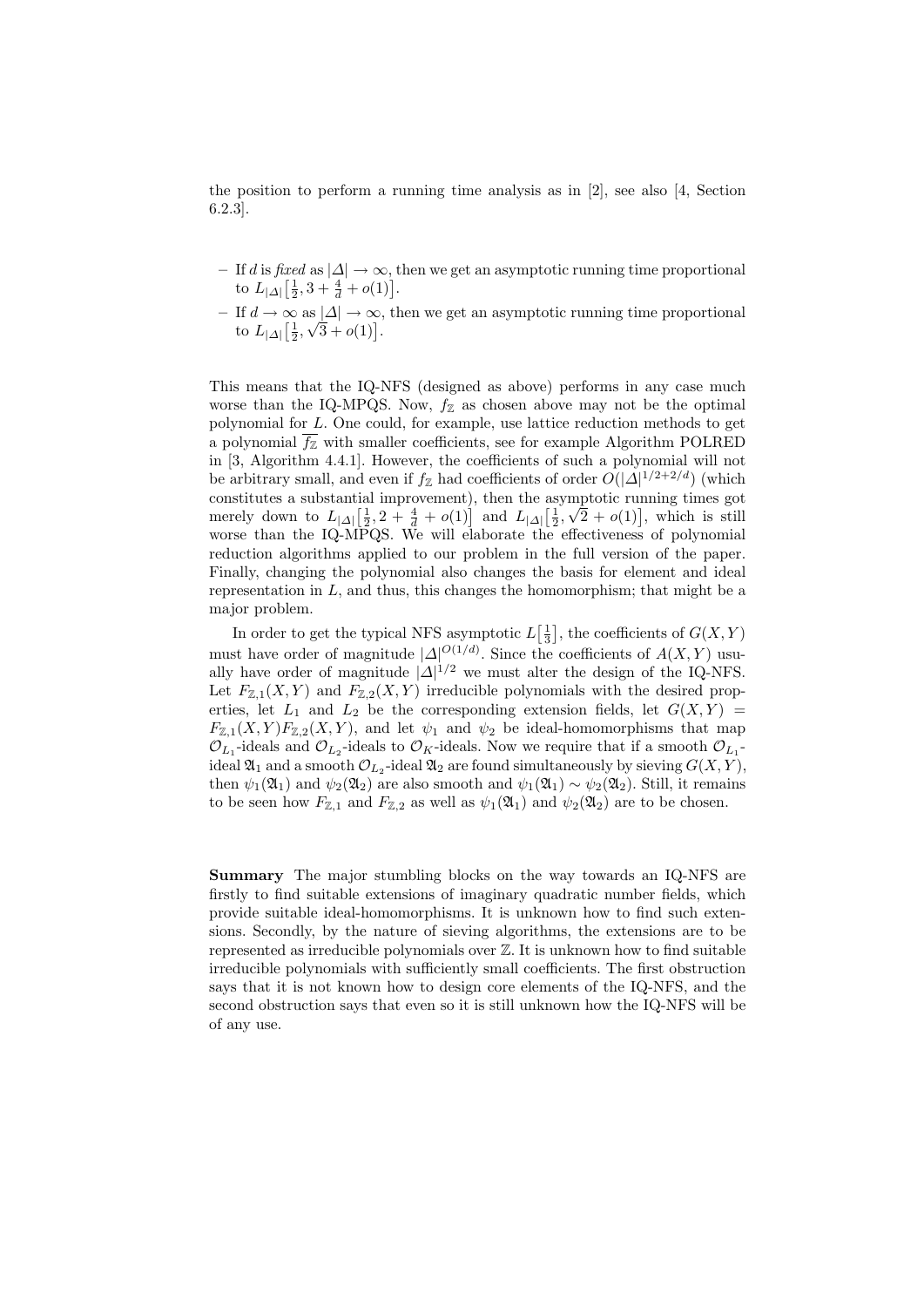the position to perform a running time analysis as in [2], see also [4, Section 6.2.3].

- If d is fixed as  $|\Delta| \to \infty$ , then we get an asymptotic running time proportional If a is *fixed* as  $|\Delta| \to \infty$ , if<br>to  $L_{|\Delta|} \left[\frac{1}{2}, 3 + \frac{4}{d} + o(1)\right]$ .
- If d → ∞ as |∆| → ∞, then we get an asymptotic running time proportional £ √ If  $a \to \infty$  as  $|\Delta| \to \infty$ ,<br>to  $L_{|\Delta|} \left[\frac{1}{2}, \sqrt{3} + o(1)\right]$ .

This means that the IQ-NFS (designed as above) performs in any case much worse than the IQ-MPQS. Now,  $f_{\mathbb{Z}}$  as chosen above may not be the optimal polynomial for L. One could, for example, use lattice reduction methods to get a polynomial  $\overline{f_{\mathbb{Z}}}$  with smaller coefficients, see for example Algorithm POLRED in [3, Algorithm 4.4.1]. However, the coefficients of such a polynomial will not be arbitrary small, and even if  $f_{\mathbb{Z}}$  had coefficients of order  $O(|\Delta|^{1/2+2/d})$  (which constitutes a substantial improvement), then the asymptotic running times got constitutes a substantial improvement), then the asymptotic running times got merely down to  $L_{|\Delta|}[\frac{1}{2}, 2 + \frac{4}{d} + o(1)]$  and  $L_{|\Delta|}[\frac{1}{2}, \sqrt{2} + o(1)]$ , which is still worse than the IQ-MPQS. We will elaborate the effectiveness of polynomial reduction algorithms applied to our problem in the full version of the paper. Finally, changing the polynomial also changes the basis for element and ideal representation in  $L$ , and thus, this changes the homomorphism; that might be a major problem. ¤

In order to get the typical NFS asymptotic  $L$  $\left[\frac{1}{3}\right]$ , the coefficients of  $G(X, Y)$ must have order of magnitude  $|\Delta|^{O(1/d)}$ . Since the coefficients of  $A(X, Y)$  usually have order of magnitude  $|\Delta|^{1/2}$  we must alter the design of the IQ-NFS. Let  $F_{\mathbb{Z},1}(X,Y)$  and  $F_{\mathbb{Z},2}(X,Y)$  irreducible polynomials with the desired properties, let  $L_1$  and  $L_2$  be the corresponding extension fields, let  $G(X, Y) =$  $F_{\mathbb{Z},1}(X,Y)F_{\mathbb{Z},2}(X,Y)$ , and let  $\psi_1$  and  $\psi_2$  be ideal-homomorphisms that map  $\mathcal{O}_{L_1}$ -ideals and  $\mathcal{O}_{L_2}$ -ideals to  $\mathcal{O}_K$ -ideals. Now we require that if a smooth  $\mathcal{O}_{L_1}$ ideal  $\mathfrak{A}_{1}$  and a smooth  $\mathcal{O}_{L_{2}}$ -ideal  $\mathfrak{A}_{2}$  are found simultaneously by sieving  $G(X,Y),$ then  $\psi_1(\mathfrak{A}_1)$  and  $\psi_2(\mathfrak{A}_2)$  are also smooth and  $\psi_1(\mathfrak{A}_1) \sim \psi_2(\mathfrak{A}_2)$ . Still, it remains to be seen how  $F_{\mathbb{Z},1}$  and  $F_{\mathbb{Z},2}$  as well as  $\psi_1(\mathfrak{A}_1)$  and  $\psi_2(\mathfrak{A}_2)$  are to be chosen.

Summary The major stumbling blocks on the way towards an IQ-NFS are firstly to find suitable extensions of imaginary quadratic number fields, which provide suitable ideal-homomorphisms. It is unknown how to find such extensions. Secondly, by the nature of sieving algorithms, the extensions are to be represented as irreducible polynomials over Z. It is unknown how to find suitable irreducible polynomials with sufficiently small coefficients. The first obstruction says that it is not known how to design core elements of the IQ-NFS, and the second obstruction says that even so it is still unknown how the IQ-NFS will be of any use.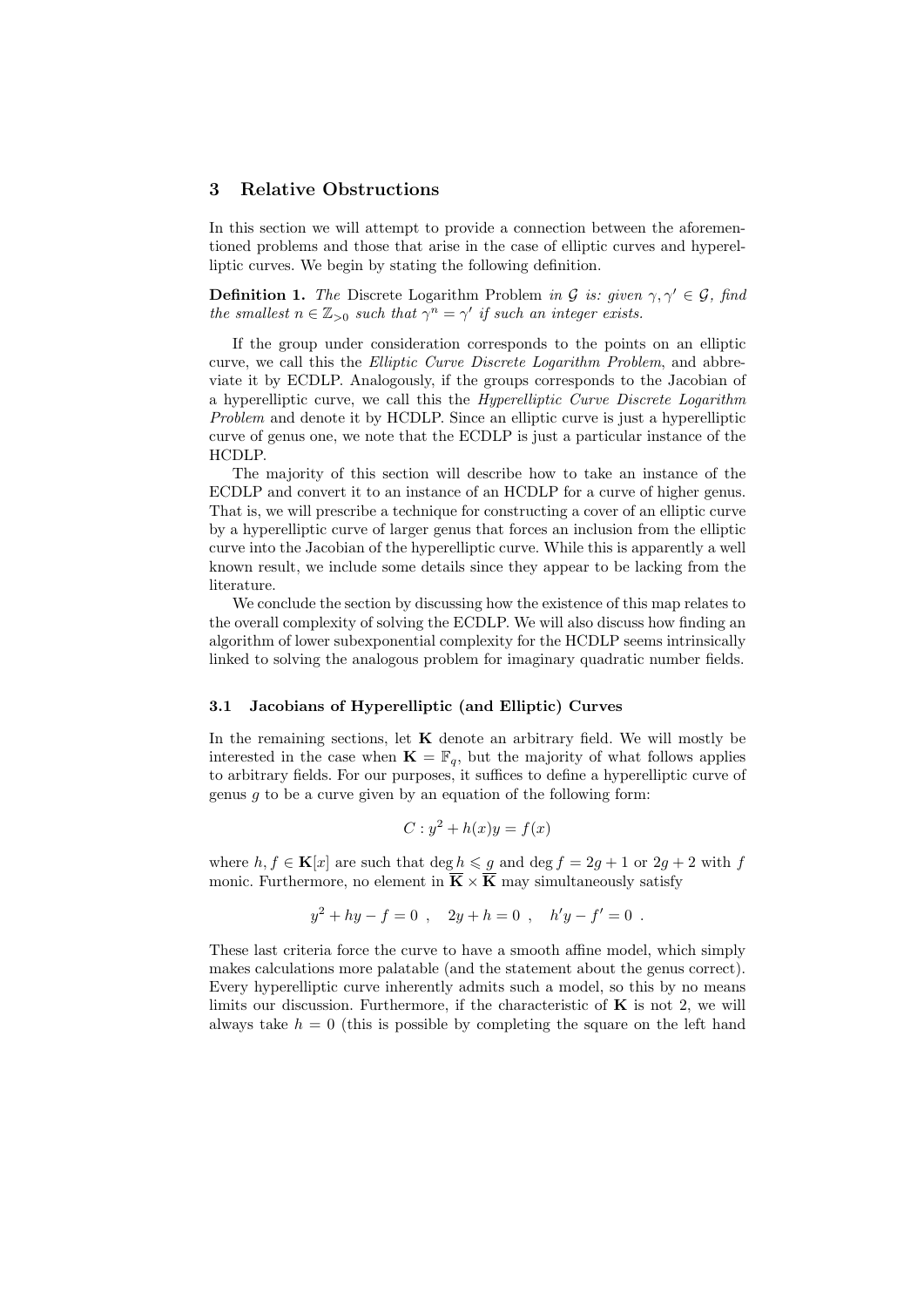# 3 Relative Obstructions

In this section we will attempt to provide a connection between the aforementioned problems and those that arise in the case of elliptic curves and hyperelliptic curves. We begin by stating the following definition.

**Definition 1.** The Discrete Logarithm Problem in G is: given  $\gamma, \gamma' \in \mathcal{G}$ , find the smallest  $n \in \mathbb{Z}_{>0}$  such that  $\gamma^n = \gamma'$  if such an integer exists.

If the group under consideration corresponds to the points on an elliptic curve, we call this the Elliptic Curve Discrete Logarithm Problem, and abbreviate it by ECDLP. Analogously, if the groups corresponds to the Jacobian of a hyperelliptic curve, we call this the Hyperelliptic Curve Discrete Logarithm Problem and denote it by HCDLP. Since an elliptic curve is just a hyperelliptic curve of genus one, we note that the ECDLP is just a particular instance of the HCDLP.

The majority of this section will describe how to take an instance of the ECDLP and convert it to an instance of an HCDLP for a curve of higher genus. That is, we will prescribe a technique for constructing a cover of an elliptic curve by a hyperelliptic curve of larger genus that forces an inclusion from the elliptic curve into the Jacobian of the hyperelliptic curve. While this is apparently a well known result, we include some details since they appear to be lacking from the literature.

We conclude the section by discussing how the existence of this map relates to the overall complexity of solving the ECDLP. We will also discuss how finding an algorithm of lower subexponential complexity for the HCDLP seems intrinsically linked to solving the analogous problem for imaginary quadratic number fields.

## 3.1 Jacobians of Hyperelliptic (and Elliptic) Curves

In the remaining sections, let  $K$  denote an arbitrary field. We will mostly be interested in the case when  $\mathbf{K} = \mathbb{F}_q$ , but the majority of what follows applies to arbitrary fields. For our purposes, it suffices to define a hyperelliptic curve of genus  $g$  to be a curve given by an equation of the following form:

$$
C: y^2 + h(x)y = f(x)
$$

where  $h, f \in \mathbf{K}[x]$  are such that  $\deg h \leq g$  and  $\deg f = 2g + 1$  or  $2g + 2$  with f monic. Furthermore, no element in  $\overline{K} \times \overline{K}$  may simultaneously satisfy

$$
y^2 + hy - f = 0 , \quad 2y + h = 0 , \quad h'y - f' = 0 .
$$

These last criteria force the curve to have a smooth affine model, which simply makes calculations more palatable (and the statement about the genus correct). Every hyperelliptic curve inherently admits such a model, so this by no means limits our discussion. Furthermore, if the characteristic of  $\bf{K}$  is not 2, we will always take  $h = 0$  (this is possible by completing the square on the left hand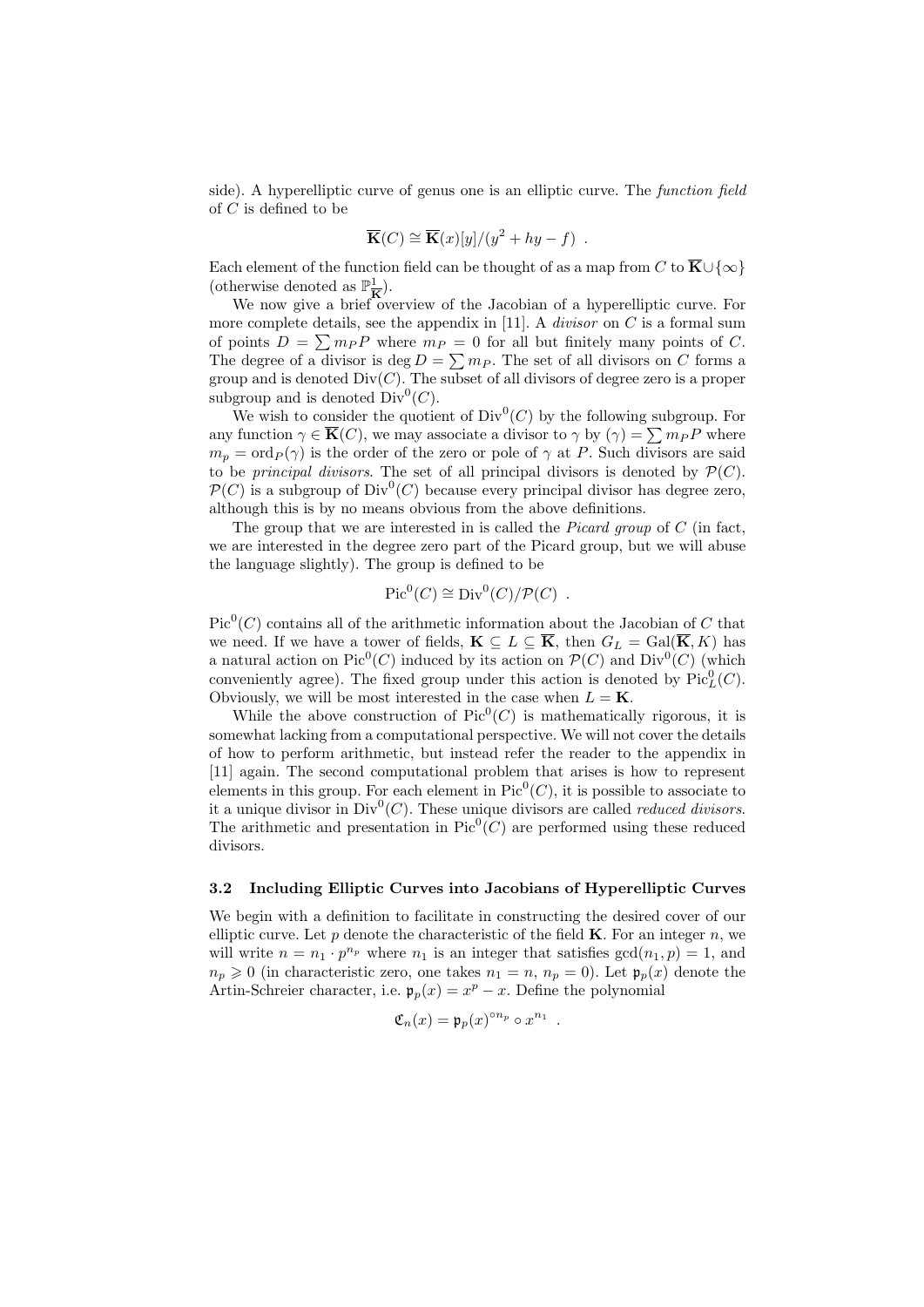side). A hyperelliptic curve of genus one is an elliptic curve. The function field of C is defined to be

$$
\overline{\mathbf{K}}(C) \cong \overline{\mathbf{K}}(x)[y]/(y^2 + hy - f) .
$$

Each element of the function field can be thought of as a map from C to  $\overline{K} \cup \{\infty\}$ (otherwise denoted as  $\mathbb{P}^1$  $\frac{1}{\mathbf{K}}$ ).

We now give a brief overview of the Jacobian of a hyperelliptic curve. For more complete details, see the appendix in [11]. A *divisor* on  $C$  is a formal sum more complete details, see the appendix in [11]. A *attesor* on C is a formal sum of points  $D = \sum m_P P$  where  $m_P = 0$  for all but finitely many points of C. or points  $D = \sum m_P P$  where  $m_P = 0$  for an but infitely many points of C.<br>The degree of a divisor is deg  $D = \sum m_P$ . The set of all divisors on C forms a group and is denoted  $Div(C)$ . The subset of all divisors of degree zero is a proper subgroup and is denoted  $Div^0(C)$ .

We wish to consider the quotient of  $Div^0(C)$  by the following subgroup. For any function  $\gamma \in \mathbf{\overline{K}}(C)$ , we may associate a divisor to  $\gamma$  by  $(\gamma) = \sum m_P P$  where  $m_p = \text{ord}_P(\gamma)$  is the order of the zero or pole of  $\gamma$  at P. Such divisors are said to be *principal divisors*. The set of all principal divisors is denoted by  $\mathcal{P}(C)$ .  $\mathcal{P}(C)$  is a subgroup of  $\text{Div}^0(C)$  because every principal divisor has degree zero, although this is by no means obvious from the above definitions.

The group that we are interested in is called the *Picard group* of  $C$  (in fact, we are interested in the degree zero part of the Picard group, but we will abuse the language slightly). The group is defined to be

$$
Pic^0(C) \cong Div^0(C)/\mathcal{P}(C) .
$$

 $Pic^0(C)$  contains all of the arithmetic information about the Jacobian of C that we need. If we have a tower of fields,  $\mathbf{K} \subseteq L \subseteq \overline{\mathbf{K}}$ , then  $G_L = \text{Gal}(\overline{\mathbf{K}}, K)$  has a natural action on Pic<sup>0</sup>(C) induced by its action on  $\mathcal{P}(C)$  and Div<sup>0</sup>(C) (which conveniently agree). The fixed group under this action is denoted by  $\operatorname{Pic}^0_L(C)$ . Obviously, we will be most interested in the case when  $L = K$ .

While the above construction of  $Pic^0(C)$  is mathematically rigorous, it is somewhat lacking from a computational perspective. We will not cover the details of how to perform arithmetic, but instead refer the reader to the appendix in [11] again. The second computational problem that arises is how to represent elements in this group. For each element in  $Pic^0(C)$ , it is possible to associate to it a unique divisor in  $Div^0(C)$ . These unique divisors are called *reduced divisors*. The arithmetic and presentation in  $Pic^0(C)$  are performed using these reduced divisors.

#### 3.2 Including Elliptic Curves into Jacobians of Hyperelliptic Curves

We begin with a definition to facilitate in constructing the desired cover of our elliptic curve. Let p denote the characteristic of the field  $\bf{K}$ . For an integer n, we will write  $n = n_1 \cdot p^{n_p}$  where  $n_1$  is an integer that satisfies  $gcd(n_1, p) = 1$ , and  $n_p \geq 0$  (in characteristic zero, one takes  $n_1 = n$ ,  $n_p = 0$ ). Let  $\mathfrak{p}_p(x)$  denote the Artin-Schreier character, i.e.  $\mathfrak{p}_p(x) = x^p - x$ . Define the polynomial

$$
\mathfrak{C}_n(x) = \mathfrak{p}_p(x)^{\circ n_p} \circ x^{n_1} .
$$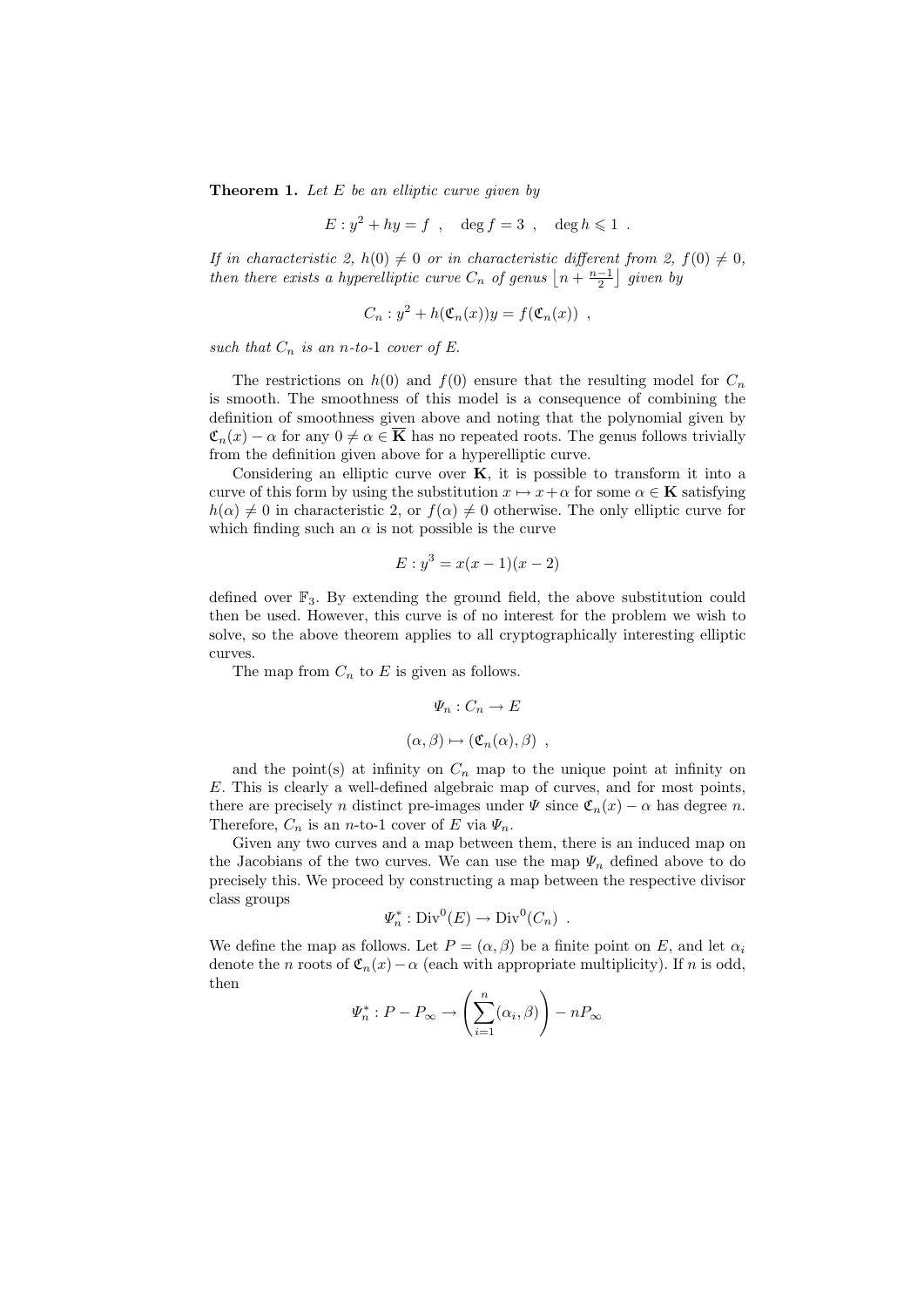**Theorem 1.** Let  $E$  be an elliptic curve given by

$$
E: y^2 + hy = f , \quad \deg f = 3 , \quad \deg h \leq 1 .
$$

If in characteristic 2,  $h(0) \neq 0$  or in characteristic different from 2,  $f(0) \neq 0$ , If in characteristic  $z$ ,  $n(0) \neq 0$  or in characteristic different from  $z$ ,<br>then there exists a hyperelliptic curve  $C_n$  of genus  $\left\lfloor n + \frac{n-1}{2} \right\rfloor$  given by

$$
C_n: y^2 + h(\mathfrak{C}_n(x))y = f(\mathfrak{C}_n(x)) ,
$$

such that  $C_n$  is an n-to-1 cover of E.

The restrictions on  $h(0)$  and  $f(0)$  ensure that the resulting model for  $C_n$ is smooth. The smoothness of this model is a consequence of combining the definition of smoothness given above and noting that the polynomial given by  $\mathfrak{C}_n(x) - \alpha$  for any  $0 \neq \alpha \in \overline{\mathbf{K}}$  has no repeated roots. The genus follows trivially from the definition given above for a hyperelliptic curve.

Considering an elliptic curve over  $K$ , it is possible to transform it into a curve of this form by using the substitution  $x \mapsto x + \alpha$  for some  $\alpha \in \mathbf{K}$  satisfying  $h(\alpha) \neq 0$  in characteristic 2, or  $f(\alpha) \neq 0$  otherwise. The only elliptic curve for which finding such an  $\alpha$  is not possible is the curve

$$
E: y^3 = x(x-1)(x-2)
$$

defined over  $\mathbb{F}_3$ . By extending the ground field, the above substitution could then be used. However, this curve is of no interest for the problem we wish to solve, so the above theorem applies to all cryptographically interesting elliptic curves.

The map from  $C_n$  to E is given as follows.

$$
\Psi_n : C_n \to E
$$

$$
(\alpha, \beta) \mapsto (\mathfrak{C}_n(\alpha), \beta) ,
$$

and the point(s) at infinity on  $C_n$  map to the unique point at infinity on E. This is clearly a well-defined algebraic map of curves, and for most points, there are precisely *n* distinct pre-images under  $\Psi$  since  $\mathfrak{C}_n(x) - \alpha$  has degree *n*. Therefore,  $C_n$  is an *n*-to-1 cover of E via  $\Psi_n$ .

Given any two curves and a map between them, there is an induced map on the Jacobians of the two curves. We can use the map  $\Psi_n$  defined above to do precisely this. We proceed by constructing a map between the respective divisor class groups

$$
\Psi_n^*: \text{Div}^0(E) \to \text{Div}^0(C_n) .
$$

We define the map as follows. Let  $P = (\alpha, \beta)$  be a finite point on E, and let  $\alpha_i$ denote the n roots of  $\mathfrak{C}_n(x) - \alpha$  (each with appropriate multiplicity). If n is odd, then !<br>}

$$
\Psi_n^* : P \to P_\infty \to \left(\sum_{i=1}^n (\alpha_i, \beta)\right) - nP_\infty
$$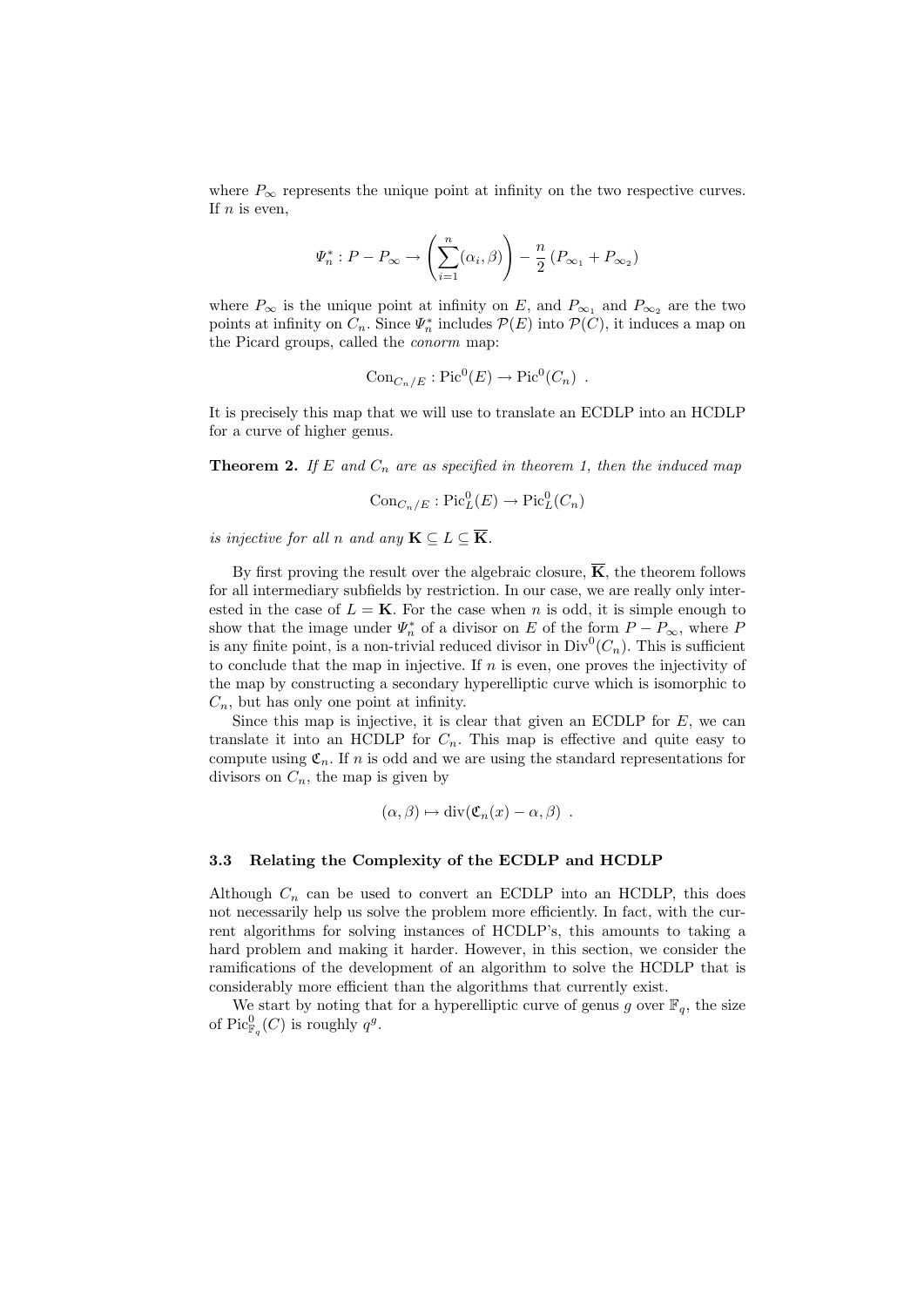where  $P_{\infty}$  represents the unique point at infinity on the two respective curves. If  $n$  is even,

$$
\Psi_n^* : P - P_{\infty} \to \left(\sum_{i=1}^n (\alpha_i, \beta)\right) - \frac{n}{2} \left(P_{\infty_1} + P_{\infty_2}\right)
$$

where  $P_{\infty}$  is the unique point at infinity on E, and  $P_{\infty}$  and  $P_{\infty}$  are the two points at infinity on  $C_n$ . Since  $\Psi_n^*$  includes  $\mathcal{P}(E)$  into  $\mathcal{P}(C)$ , it induces a map on the Picard groups, called the conorm map:

$$
\mathrm{Con}_{C_n/E} : \mathrm{Pic}^0(E) \to \mathrm{Pic}^0(C_n) .
$$

It is precisely this map that we will use to translate an ECDLP into an HCDLP for a curve of higher genus.

**Theorem 2.** If E and  $C_n$  are as specified in theorem 1, then the induced map

$$
\mathrm{Con}_{C_n/E} : \mathrm{Pic}^0_L(E) \to \mathrm{Pic}^0_L(C_n)
$$

is injective for all n and any  $\mathbf{K} \subseteq L \subseteq \overline{\mathbf{K}}$ .

By first proving the result over the algebraic closure,  $\overline{K}$ , the theorem follows for all intermediary subfields by restriction. In our case, we are really only interested in the case of  $L = K$ . For the case when n is odd, it is simple enough to show that the image under  $\Psi_n^*$  of a divisor on E of the form  $P - P_{\infty}$ , where F is any finite point, is a non-trivial reduced divisor in  $Div^0(C_n)$ . This is sufficient to conclude that the map in injective. If  $n$  is even, one proves the injectivity of the map by constructing a secondary hyperelliptic curve which is isomorphic to  $C_n$ , but has only one point at infinity.

Since this map is injective, it is clear that given an ECDLP for  $E$ , we can translate it into an HCDLP for  $C_n$ . This map is effective and quite easy to compute using  $\mathfrak{C}_n$ . If n is odd and we are using the standard representations for divisors on  $C_n$ , the map is given by

$$
(\alpha,\beta) \mapsto \mathrm{div}(\mathfrak{C}_n(x) - \alpha,\beta) .
$$

#### 3.3 Relating the Complexity of the ECDLP and HCDLP

Although  $C_n$  can be used to convert an ECDLP into an HCDLP, this does not necessarily help us solve the problem more efficiently. In fact, with the current algorithms for solving instances of HCDLP's, this amounts to taking a hard problem and making it harder. However, in this section, we consider the ramifications of the development of an algorithm to solve the HCDLP that is considerably more efficient than the algorithms that currently exist.

We start by noting that for a hyperelliptic curve of genus g over  $\mathbb{F}_q$ , the size of  $\operatorname{Pic}^0_{\mathbb{F}_q}(C)$  is roughly  $q^g$ .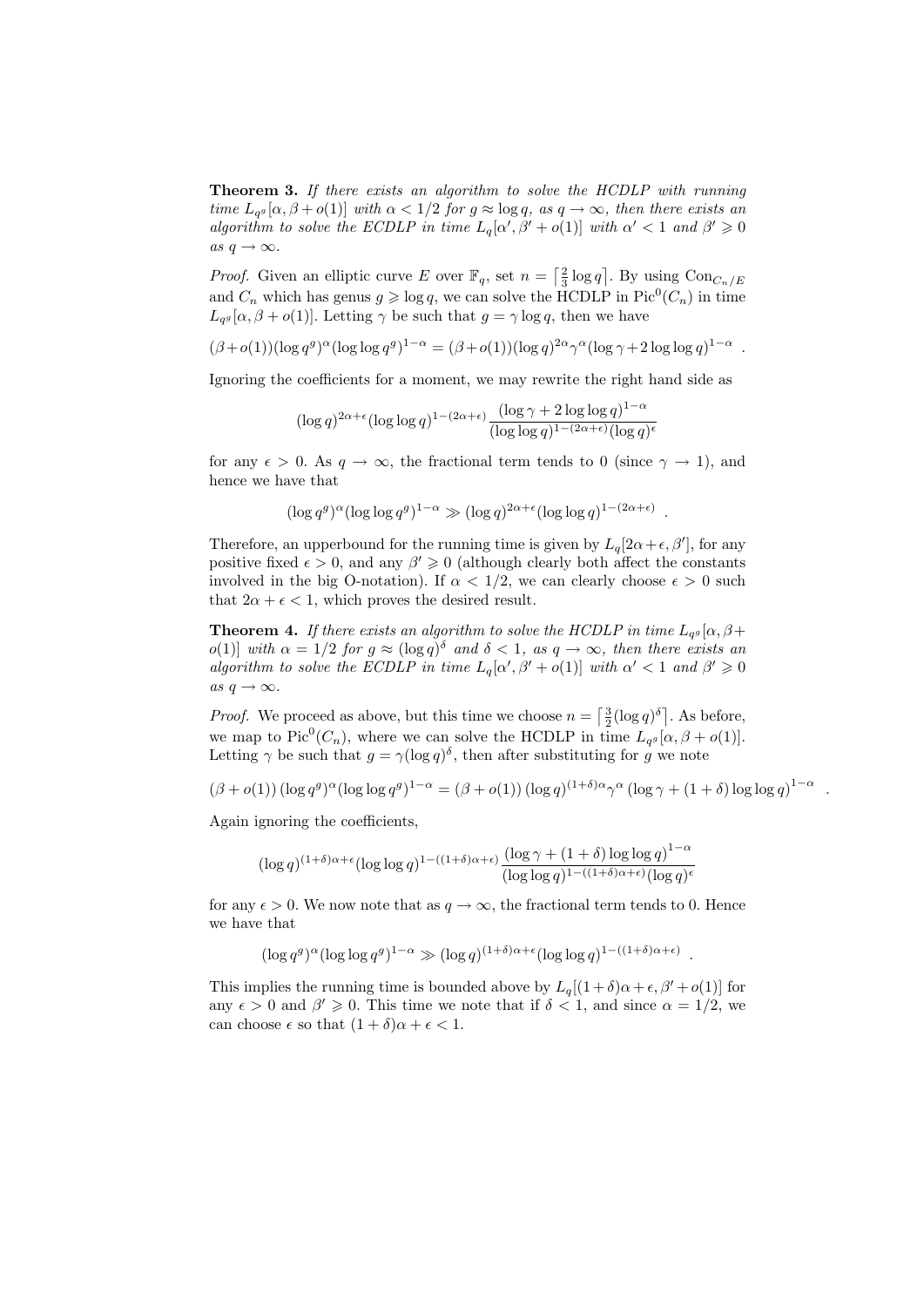**Theorem 3.** If there exists an algorithm to solve the HCDLP with running time  $L_{qg}[\alpha, \beta + o(1)]$  with  $\alpha < 1/2$  for  $g \approx \log q$ , as  $q \to \infty$ , then there exists an algorithm to solve the ECDLP in time  $L_q[\alpha', \beta' + o(1)]$  with  $\alpha' < 1$  and  $\beta' \geq 0$ as  $q \rightarrow \infty$ .

*Proof.* Given an elliptic curve E over  $\mathbb{F}_q$ , set  $n =$  $\int \frac{2}{3} \log q$ ¨ . By using  $Con_{C_n/E}$ and  $C_n$  which has genus  $g \geqslant \log q$ , we can solve the HCDLP in Pic<sup>0</sup>( $C_n$ ) in time  $L_{qg}[\alpha, \beta + o(1)]$ . Letting  $\gamma$  be such that  $g = \gamma \log q$ , then we have

 $(\beta + o(1))(\log q^g)^\alpha (\log \log q^g)^{1-\alpha} = (\beta + o(1))(\log q)^{2\alpha} \gamma^{\alpha} (\log \gamma + 2 \log \log q)^{1-\alpha}$ .

Ignoring the coefficients for a moment, we may rewrite the right hand side as

$$
(\log q)^{2\alpha+\epsilon} (\log \log q)^{1-(2\alpha+\epsilon)} \frac{(\log \gamma + 2 \log \log q)^{1-\alpha}}{(\log \log q)^{1-(2\alpha+\epsilon)} (\log q)^{\epsilon}}
$$

for any  $\epsilon > 0$ . As  $q \to \infty$ , the fractional term tends to 0 (since  $\gamma \to 1$ ), and hence we have that

$$
(\log q^g)^{\alpha} (\log \log q^g)^{1-\alpha} \gg (\log q)^{2\alpha+\epsilon} (\log \log q)^{1-(2\alpha+\epsilon)}.
$$

Therefore, an upperbound for the running time is given by  $L_q[2\alpha+\epsilon, \beta']$ , for any positive fixed  $\epsilon > 0$ , and any  $\beta' \geq 0$  (although clearly both affect the constants involved in the big O-notation). If  $\alpha < 1/2$ , we can clearly choose  $\epsilon > 0$  such that  $2\alpha + \epsilon < 1$ , which proves the desired result.

**Theorem 4.** If there exists an algorithm to solve the HCDLP in time  $L_{qg}[\alpha, \beta +$  $o(1)$  with  $\alpha = 1/2$  for  $g \approx (\log q)^{\delta}$  and  $\delta < 1$ , as  $q \to \infty$ , then there exists an algorithm to solve the ECDLP in time  $L_q[\alpha', \beta' + o(1)]$  with  $\alpha' < 1$  and  $\beta' \geq 0$ as  $q \rightarrow \infty$ .

*Proof.* We proceed as above, but this time we choose  $n =$  $\left\lceil \frac{3}{2} (\log q)^{\delta} \right\rceil$ . As before, we map to Pic<sup>0</sup>( $C_n$ ), where we can solve the HCDLP in time  $L_{q^g}[\alpha, \beta + o(1)]$ . Letting  $\gamma$  be such that  $g = \gamma(\log q)^{\delta}$ , then after substituting for g we note

$$
(\beta + o(1)) (\log q^g)^{\alpha} (\log \log q^g)^{1-\alpha} = (\beta + o(1)) (\log q)^{(1+\delta)\alpha} \gamma^{\alpha} (\log \gamma + (1+\delta) \log \log q)^{1-\alpha}
$$

.

.

Again ignoring the coefficients,

$$
(\log q)^{(1+\delta)\alpha+\epsilon} (\log\log q)^{1-((1+\delta)\alpha+\epsilon)}\frac{(\log \gamma+(1+\delta)\log\log q)^{1-\alpha}}{(\log\log q)^{1-((1+\delta)\alpha+\epsilon)}(\log q)^{\epsilon}}
$$

for any  $\epsilon > 0$ . We now note that as  $q \to \infty$ , the fractional term tends to 0. Hence we have that

$$
(\log q^g)^{\alpha} (\log \log q^g)^{1-\alpha} \gg (\log q)^{(1+\delta)\alpha+\epsilon} (\log \log q)^{1-((1+\delta)\alpha+\epsilon)}
$$

This implies the running time is bounded above by  $L_q[(1+\delta)\alpha+\epsilon, \beta'+o(1)]$  for any  $\epsilon > 0$  and  $\beta' \geq 0$ . This time we note that if  $\delta < 1$ , and since  $\alpha = 1/2$ , we can choose  $\epsilon$  so that  $(1 + \delta)\alpha + \epsilon < 1$ .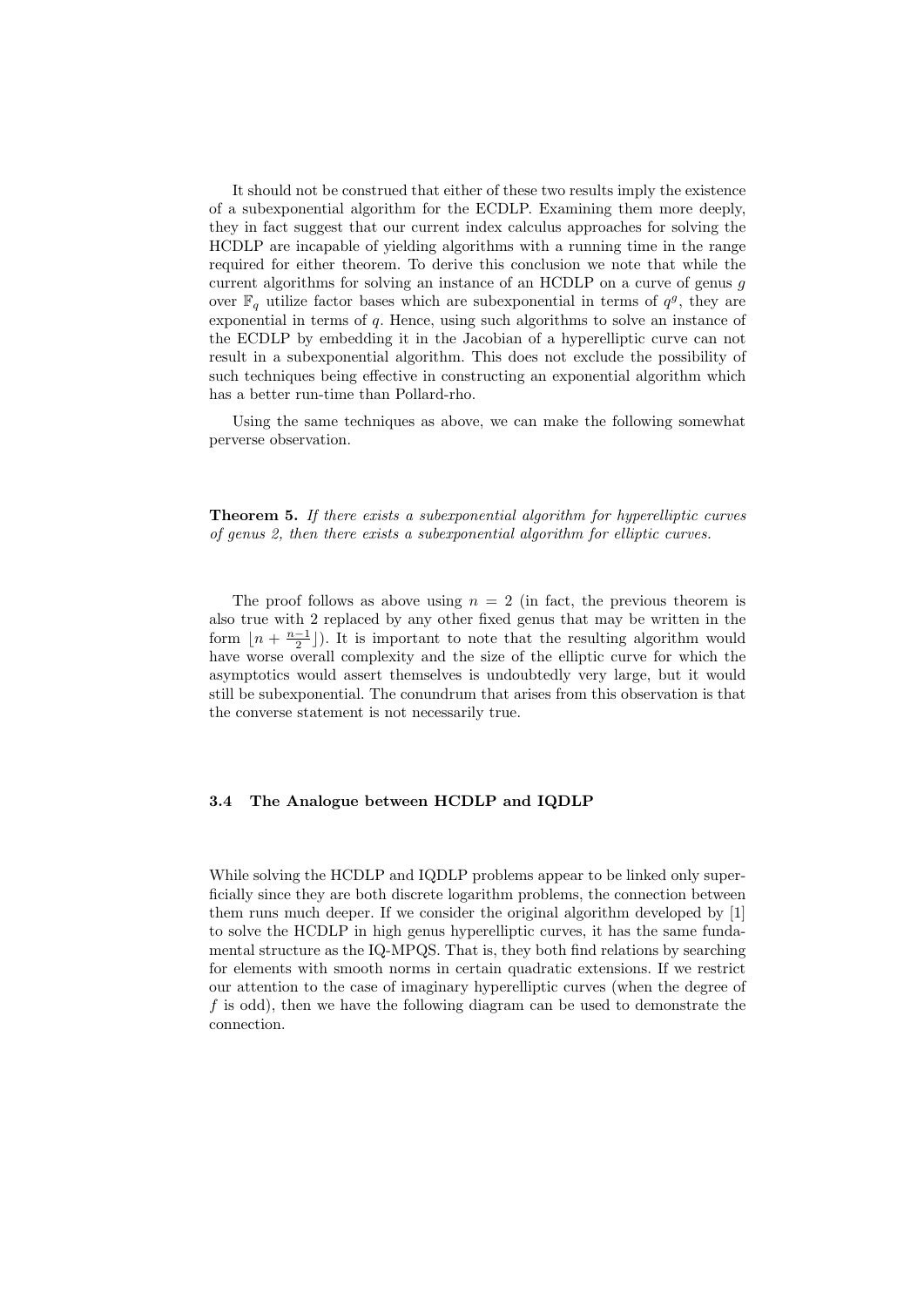It should not be construed that either of these two results imply the existence of a subexponential algorithm for the ECDLP. Examining them more deeply, they in fact suggest that our current index calculus approaches for solving the HCDLP are incapable of yielding algorithms with a running time in the range required for either theorem. To derive this conclusion we note that while the current algorithms for solving an instance of an HCDLP on a curve of genus  $q$ over  $\mathbb{F}_q$  utilize factor bases which are subexponential in terms of  $q^g$ , they are exponential in terms of  $q$ . Hence, using such algorithms to solve an instance of the ECDLP by embedding it in the Jacobian of a hyperelliptic curve can not result in a subexponential algorithm. This does not exclude the possibility of such techniques being effective in constructing an exponential algorithm which has a better run-time than Pollard-rho.

Using the same techniques as above, we can make the following somewhat perverse observation.

Theorem 5. If there exists a subexponential algorithm for hyperelliptic curves of genus 2, then there exists a subexponential algorithm for elliptic curves.

The proof follows as above using  $n = 2$  (in fact, the previous theorem is also true with 2 replaced by any other fixed genus that may be written in the form  $\lfloor n + \frac{n-1}{2} \rfloor$ ). It is important to note that the resulting algorithm would have worse overall complexity and the size of the elliptic curve for which the asymptotics would assert themselves is undoubtedly very large, but it would still be subexponential. The conundrum that arises from this observation is that the converse statement is not necessarily true.

#### 3.4 The Analogue between HCDLP and IQDLP

While solving the HCDLP and IQDLP problems appear to be linked only superficially since they are both discrete logarithm problems, the connection between them runs much deeper. If we consider the original algorithm developed by [1] to solve the HCDLP in high genus hyperelliptic curves, it has the same fundamental structure as the IQ-MPQS. That is, they both find relations by searching for elements with smooth norms in certain quadratic extensions. If we restrict our attention to the case of imaginary hyperelliptic curves (when the degree of f is odd), then we have the following diagram can be used to demonstrate the connection.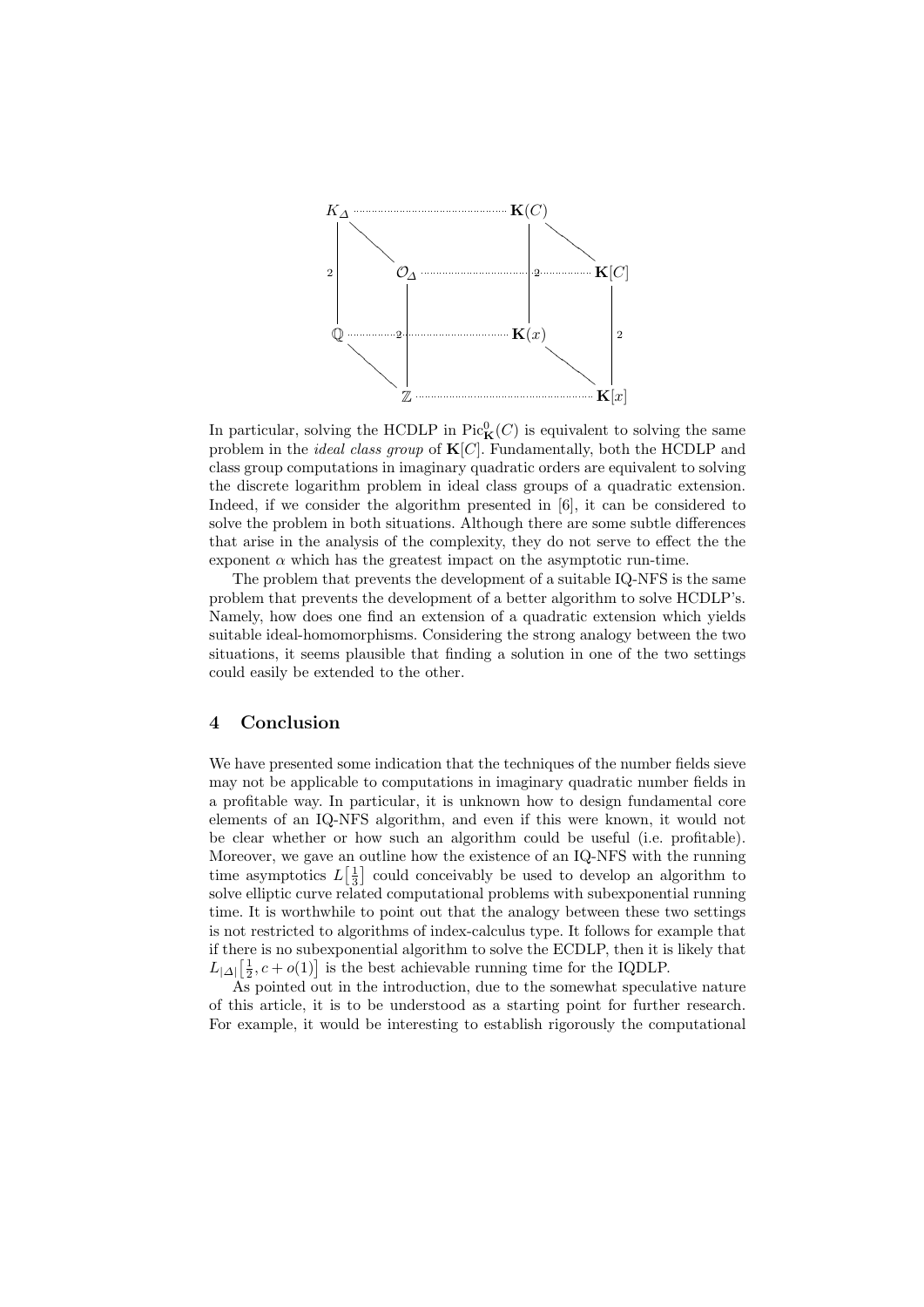

In particular, solving the HCDLP in  $Pic<sup>0</sup><sub>K</sub>(C)$  is equivalent to solving the same problem in the *ideal class group* of  $K[C]$ . Fundamentally, both the HCDLP and class group computations in imaginary quadratic orders are equivalent to solving the discrete logarithm problem in ideal class groups of a quadratic extension. Indeed, if we consider the algorithm presented in [6], it can be considered to solve the problem in both situations. Although there are some subtle differences that arise in the analysis of the complexity, they do not serve to effect the the exponent  $\alpha$  which has the greatest impact on the asymptotic run-time.

The problem that prevents the development of a suitable IQ-NFS is the same problem that prevents the development of a better algorithm to solve HCDLP's. Namely, how does one find an extension of a quadratic extension which yields suitable ideal-homomorphisms. Considering the strong analogy between the two situations, it seems plausible that finding a solution in one of the two settings could easily be extended to the other.

# 4 Conclusion

We have presented some indication that the techniques of the number fields sieve may not be applicable to computations in imaginary quadratic number fields in a profitable way. In particular, it is unknown how to design fundamental core elements of an IQ-NFS algorithm, and even if this were known, it would not be clear whether or how such an algorithm could be useful (i.e. profitable). Moreover, we gave an outline how the existence of an IQ-NFS with the running time asymptotics  $L\left[\frac{1}{3}\right]$  could conceivably be used to develop an algorithm to solve elliptic curve related computational problems with subexponential running time. It is worthwhile to point out that the analogy between these two settings is not restricted to algorithms of index-calculus type. It follows for example that if there is no subexponential algorithm to solve the ECDLP, then it is likely that £ If there is no subexponential algorithm to solve the ECDLP, then it is  $L_{|\Delta|}[\frac{1}{2}, c + o(1)]$  is the best achievable running time for the IQDLP.

As pointed out in the introduction, due to the somewhat speculative nature of this article, it is to be understood as a starting point for further research. For example, it would be interesting to establish rigorously the computational